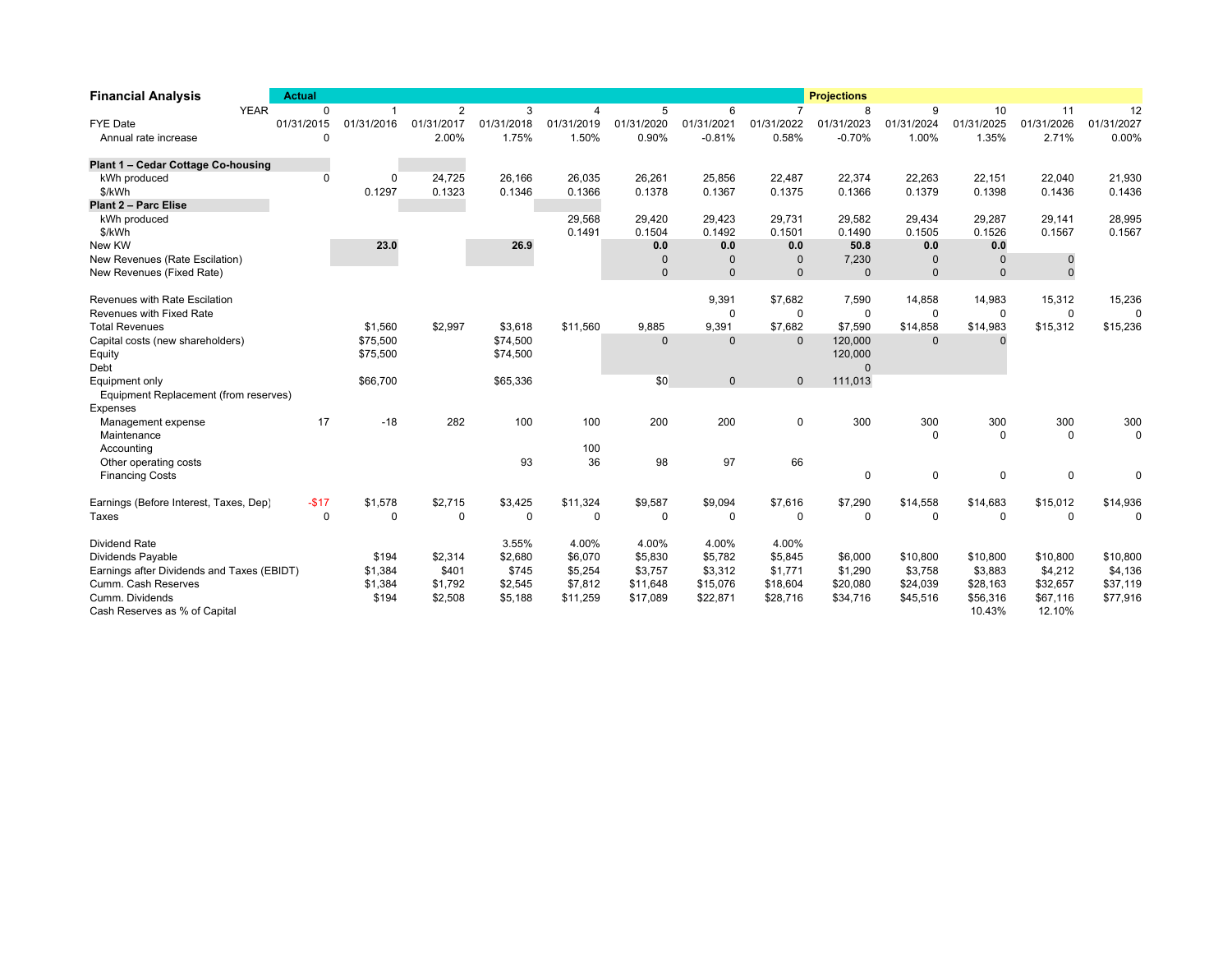| <b>Financial Analysis</b>                  | <b>Actual</b> |                |                |             |            |              |              |                | <b>Projections</b> |             |                |                |              |
|--------------------------------------------|---------------|----------------|----------------|-------------|------------|--------------|--------------|----------------|--------------------|-------------|----------------|----------------|--------------|
| <b>YEAR</b>                                | $\Omega$      | $\overline{1}$ | $\overline{2}$ | 3           | 4          | 5            | 6            | $\overline{7}$ | 8                  | 9           | 10             | 11             | 12           |
| <b>FYE Date</b>                            | 01/31/2015    | 01/31/2016     | 01/31/2017     | 01/31/2018  | 01/31/2019 | 01/31/2020   | 01/31/2021   | 01/31/2022     | 01/31/2023         | 01/31/2024  | 01/31/2025     | 01/31/2026     | 01/31/2027   |
| Annual rate increase                       | $\Omega$      |                | 2.00%          | 1.75%       | 1.50%      | 0.90%        | $-0.81%$     | 0.58%          | $-0.70%$           | 1.00%       | 1.35%          | 2.71%          | 0.00%        |
| Plant 1 - Cedar Cottage Co-housing         |               |                |                |             |            |              |              |                |                    |             |                |                |              |
| kWh produced                               | $\mathbf{0}$  | 0              | 24.725         | 26.166      | 26.035     | 26.261       | 25.856       | 22,487         | 22,374             | 22.263      | 22.151         | 22,040         | 21,930       |
| \$/kWh                                     |               | 0.1297         | 0.1323         | 0.1346      | 0.1366     | 0.1378       | 0.1367       | 0.1375         | 0.1366             | 0.1379      | 0.1398         | 0.1436         | 0.1436       |
| Plant 2 - Parc Elise                       |               |                |                |             |            |              |              |                |                    |             |                |                |              |
| kWh produced                               |               |                |                |             | 29,568     | 29,420       | 29,423       | 29,731         | 29,582             | 29,434      | 29,287         | 29,141         | 28,995       |
| \$/kWh                                     |               |                |                |             | 0.1491     | 0.1504       | 0.1492       | 0.1501         | 0.1490             | 0.1505      | 0.1526         | 0.1567         | 0.1567       |
| New KW                                     |               | 23.0           |                | 26.9        |            | 0.0          | 0.0          | 0.0            | 50.8               | 0.0         | 0.0            |                |              |
| New Revenues (Rate Escilation)             |               |                |                |             |            | $\Omega$     | $\mathbf{0}$ | $\Omega$       | 7,230              | $\Omega$    | $\mathbf 0$    | 0              |              |
| New Revenues (Fixed Rate)                  |               |                |                |             |            | $\Omega$     | $\mathbf{0}$ | $\mathsf 0$    | $\Omega$           | $\mathsf 0$ | $\overline{0}$ | $\overline{0}$ |              |
| Revenues with Rate Escilation              |               |                |                |             |            |              | 9,391        | \$7,682        | 7,590              | 14,858      | 14,983         | 15,312         | 15,236       |
| Revenues with Fixed Rate                   |               |                |                |             |            |              | $\mathbf 0$  | $\Omega$       | $\Omega$           | $\Omega$    | $\mathbf 0$    | $\mathbf 0$    | $\Omega$     |
| <b>Total Revenues</b>                      |               | \$1,560        | \$2,997        | \$3,618     | \$11,560   | 9,885        | 9,391        | \$7,682        | \$7,590            | \$14,858    | \$14,983       | \$15,312       | \$15,236     |
| Capital costs (new shareholders)           |               | \$75,500       |                | \$74,500    |            | $\mathbf{0}$ | $\mathbf 0$  | $\Omega$       | 120,000            | $\Omega$    | $\Omega$       |                |              |
| Equity                                     |               | \$75,500       |                | \$74,500    |            |              |              |                | 120,000            |             |                |                |              |
| Debt                                       |               |                |                |             |            |              |              |                | $\Omega$           |             |                |                |              |
| Equipment only                             |               | \$66,700       |                | \$65,336    |            | \$0          | $\pmb{0}$    | $\mathbf 0$    | 111,013            |             |                |                |              |
| Equipment Replacement (from reserves)      |               |                |                |             |            |              |              |                |                    |             |                |                |              |
| Expenses                                   |               |                |                |             |            |              |              |                |                    |             |                |                |              |
| Management expense                         | 17            | $-18$          | 282            | 100         | 100        | 200          | 200          | $\mathbf 0$    | 300                | 300         | 300            | 300            | 300          |
| Maintenance                                |               |                |                |             |            |              |              |                |                    | $\Omega$    | $\Omega$       | $\mathbf{0}$   | $\mathbf{0}$ |
| Accounting                                 |               |                |                |             | 100        |              |              |                |                    |             |                |                |              |
| Other operating costs                      |               |                |                | 93          | 36         | 98           | 97           | 66             |                    |             |                |                |              |
| <b>Financing Costs</b>                     |               |                |                |             |            |              |              |                | $\Omega$           | 0           | 0              | $\mathbf 0$    | 0            |
| Earnings (Before Interest, Taxes, Dep)     | $-$17$        | \$1,578        | \$2,715        | \$3,425     | \$11,324   | \$9,587      | \$9,094      | \$7,616        | \$7,290            | \$14,558    | \$14,683       | \$15,012       | \$14,936     |
| Taxes                                      | $\Omega$      | $\mathbf 0$    | $\mathbf 0$    | $\mathbf 0$ | 0          | $\mathbf 0$  | 0            | $\Omega$       | $\Omega$           | $\mathbf 0$ | $\mathbf 0$    | $\mathbf 0$    | $\Omega$     |
| <b>Dividend Rate</b>                       |               |                |                | 3.55%       | 4.00%      | 4.00%        | 4.00%        | 4.00%          |                    |             |                |                |              |
| Dividends Payable                          |               | \$194          | \$2,314        | \$2,680     | \$6,070    | \$5.830      | \$5,782      | \$5,845        | \$6,000            | \$10,800    | \$10,800       | \$10,800       | \$10,800     |
| Earnings after Dividends and Taxes (EBIDT) |               | \$1,384        | \$401          | \$745       | \$5,254    | \$3.757      | \$3,312      | \$1,771        | \$1,290            | \$3.758     | \$3.883        | \$4,212        | \$4,136      |
| Cumm. Cash Reserves                        |               | \$1,384        | \$1,792        | \$2,545     | \$7,812    | \$11,648     | \$15,076     | \$18,604       | \$20,080           | \$24,039    | \$28,163       | \$32,657       | \$37,119     |
| Cumm. Dividends                            |               | \$194          | \$2,508        | \$5,188     | \$11,259   | \$17,089     | \$22,871     | \$28,716       | \$34,716           | \$45,516    | \$56,316       | \$67,116       | \$77,916     |
| Cash Reserves as % of Capital              |               |                |                |             |            |              |              |                |                    |             | 10.43%         | 12.10%         |              |
|                                            |               |                |                |             |            |              |              |                |                    |             |                |                |              |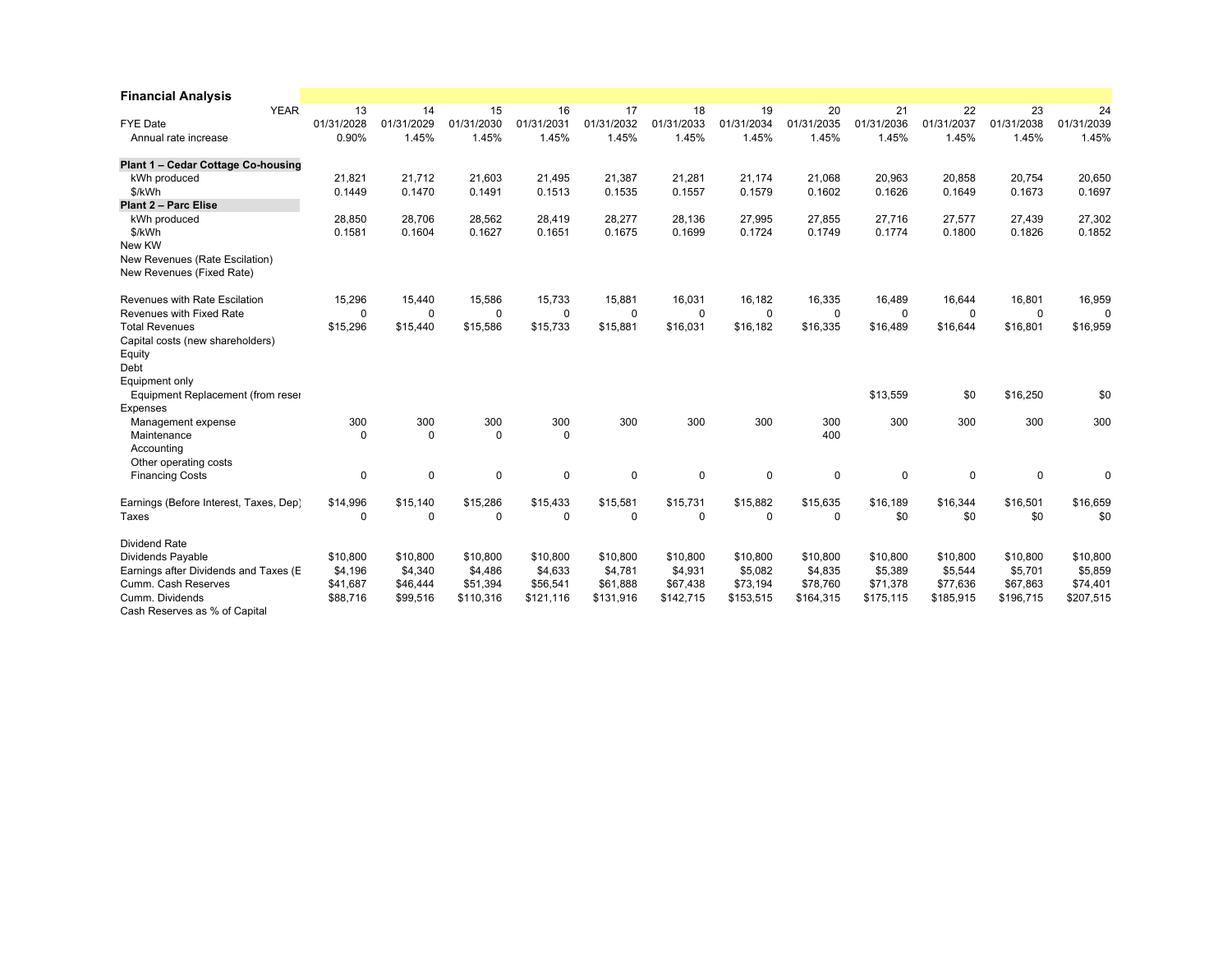| <b>Financial Analysis</b>              |            |             |            |             |             |              |            |             |            |            |            |             |
|----------------------------------------|------------|-------------|------------|-------------|-------------|--------------|------------|-------------|------------|------------|------------|-------------|
| <b>YEAR</b>                            | 13         | 14          | 15         | 16          | 17          | 18           | 19         | 20          | 21         | 22         | 23         | 24          |
| <b>FYE Date</b>                        | 01/31/2028 | 01/31/2029  | 01/31/2030 | 01/31/2031  | 01/31/2032  | 01/31/2033   | 01/31/2034 | 01/31/2035  | 01/31/2036 | 01/31/2037 | 01/31/2038 | 01/31/2039  |
| Annual rate increase                   | 0.90%      | 1.45%       | 1.45%      | 1.45%       | 1.45%       | 1.45%        | 1.45%      | 1.45%       | 1.45%      | 1.45%      | 1.45%      | 1.45%       |
| Plant 1 - Cedar Cottage Co-housing     |            |             |            |             |             |              |            |             |            |            |            |             |
| kWh produced                           | 21,821     | 21,712      | 21,603     | 21,495      | 21,387      | 21,281       | 21,174     | 21,068      | 20,963     | 20,858     | 20,754     | 20,650      |
| \$/kWh                                 | 0.1449     | 0.1470      | 0.1491     | 0.1513      | 0.1535      | 0.1557       | 0.1579     | 0.1602      | 0.1626     | 0.1649     | 0.1673     | 0.1697      |
| Plant 2 - Parc Elise                   |            |             |            |             |             |              |            |             |            |            |            |             |
| kWh produced                           | 28,850     | 28,706      | 28,562     | 28,419      | 28,277      | 28,136       | 27,995     | 27,855      | 27,716     | 27,577     | 27,439     | 27,302      |
| \$/kWh                                 | 0.1581     | 0.1604      | 0.1627     | 0.1651      | 0.1675      | 0.1699       | 0.1724     | 0.1749      | 0.1774     | 0.1800     | 0.1826     | 0.1852      |
| New KW                                 |            |             |            |             |             |              |            |             |            |            |            |             |
| New Revenues (Rate Escilation)         |            |             |            |             |             |              |            |             |            |            |            |             |
| New Revenues (Fixed Rate)              |            |             |            |             |             |              |            |             |            |            |            |             |
| Revenues with Rate Escilation          | 15,296     | 15,440      | 15,586     | 15,733      | 15,881      | 16,031       | 16,182     | 16,335      | 16,489     | 16,644     | 16,801     | 16,959      |
| Revenues with Fixed Rate               | 0          | 0           | 0          | $\mathbf 0$ | $\mathbf 0$ | $\mathbf 0$  | 0          | $\mathbf 0$ | 0          | 0          | 0          | $\mathbf 0$ |
| <b>Total Revenues</b>                  | \$15,296   | \$15,440    | \$15,586   | \$15,733    | \$15,881    | \$16,031     | \$16,182   | \$16,335    | \$16,489   | \$16,644   | \$16,801   | \$16,959    |
| Capital costs (new shareholders)       |            |             |            |             |             |              |            |             |            |            |            |             |
| Equity                                 |            |             |            |             |             |              |            |             |            |            |            |             |
| Debt                                   |            |             |            |             |             |              |            |             |            |            |            |             |
| Equipment only                         |            |             |            |             |             |              |            |             |            |            |            |             |
| Equipment Replacement (from reser      |            |             |            |             |             |              |            |             | \$13,559   | \$0        | \$16,250   | \$0         |
| Expenses                               |            |             |            |             |             |              |            |             |            |            |            |             |
| Management expense                     | 300        | 300         | 300        | 300         | 300         | 300          | 300        | 300         | 300        | 300        | 300        | 300         |
| Maintenance                            | 0          | $\mathbf 0$ | 0          | 0           |             |              |            | 400         |            |            |            |             |
| Accounting                             |            |             |            |             |             |              |            |             |            |            |            |             |
| Other operating costs                  |            |             |            |             |             |              |            |             |            |            |            |             |
| <b>Financing Costs</b>                 | 0          | 0           | 0          | 0           | 0           | $\Omega$     | 0          | 0           | 0          | 0          | 0          | $\Omega$    |
| Earnings (Before Interest, Taxes, Dep) | \$14,996   | \$15.140    | \$15,286   | \$15,433    | \$15,581    | \$15.731     | \$15,882   | \$15,635    | \$16,189   | \$16,344   | \$16,501   | \$16,659    |
| Taxes                                  | 0          | 0           | 0          | $\Omega$    | $\Omega$    | $\mathbf{0}$ | 0          | $\Omega$    | \$0        | \$0        | \$0        | \$0         |
| <b>Dividend Rate</b>                   |            |             |            |             |             |              |            |             |            |            |            |             |
| Dividends Payable                      | \$10,800   | \$10,800    | \$10,800   | \$10,800    | \$10,800    | \$10,800     | \$10,800   | \$10,800    | \$10,800   | \$10,800   | \$10,800   | \$10,800    |
| Earnings after Dividends and Taxes (E  | \$4,196    | \$4,340     | \$4,486    | \$4,633     | \$4,781     | \$4,931      | \$5,082    | \$4,835     | \$5,389    | \$5,544    | \$5,701    | \$5,859     |
| Cumm. Cash Reserves                    | \$41,687   | \$46,444    | \$51,394   | \$56,541    | \$61,888    | \$67,438     | \$73,194   | \$78,760    | \$71,378   | \$77,636   | \$67,863   | \$74,401    |
| Cumm. Dividends                        | \$88,716   | \$99,516    | \$110,316  | \$121,116   | \$131,916   | \$142,715    | \$153,515  | \$164,315   | \$175,115  | \$185,915  | \$196,715  | \$207,515   |
| Cash Reserves as % of Capital          |            |             |            |             |             |              |            |             |            |            |            |             |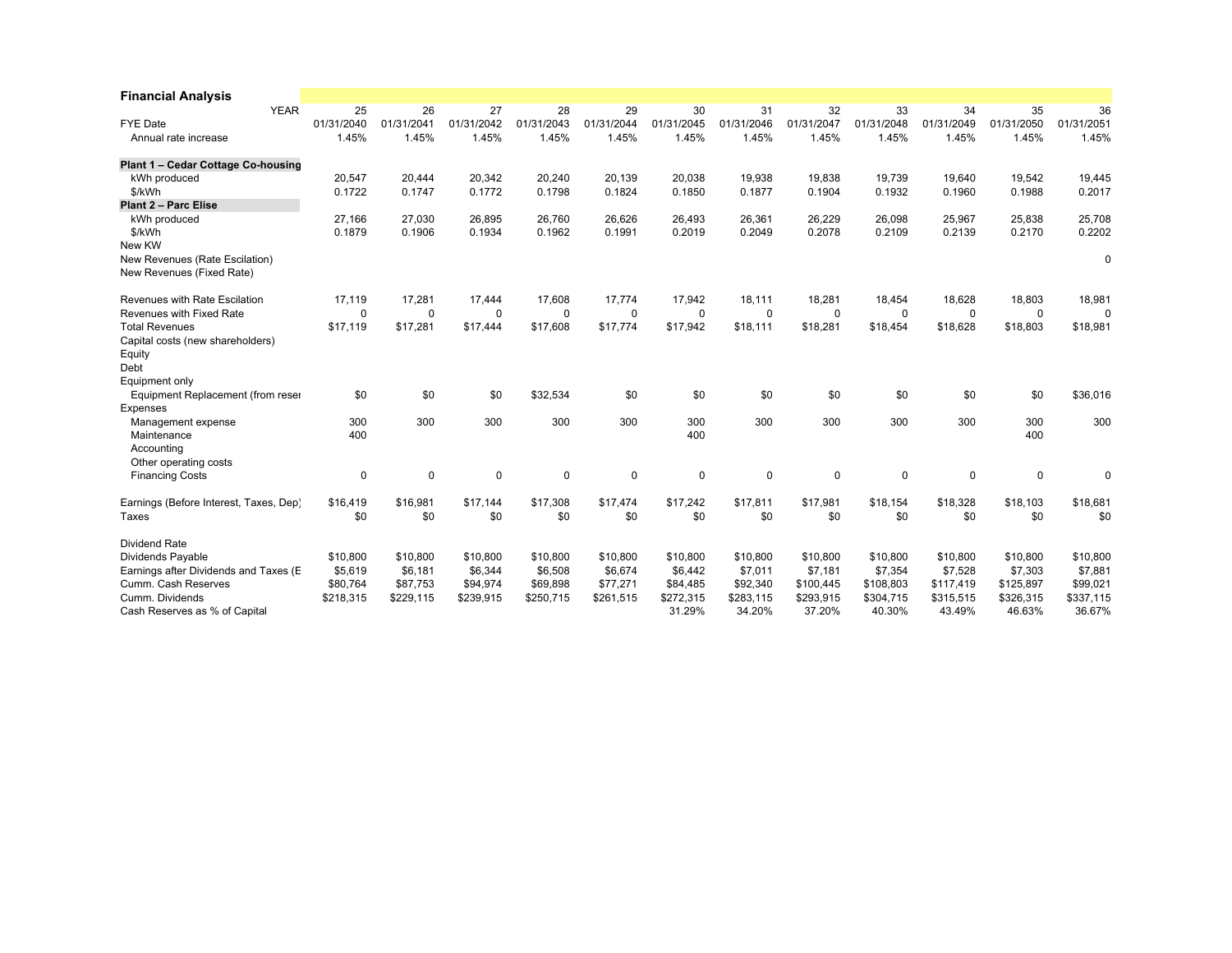| <b>Financial Analysis</b>              |            |             |            |            |            |            |            |            |            |            |            |             |
|----------------------------------------|------------|-------------|------------|------------|------------|------------|------------|------------|------------|------------|------------|-------------|
| <b>YEAR</b>                            | 25         | 26          | 27         | 28         | 29         | 30         | 31         | 32         | 33         | 34         | 35         | 36          |
| <b>FYE Date</b>                        | 01/31/2040 | 01/31/2041  | 01/31/2042 | 01/31/2043 | 01/31/2044 | 01/31/2045 | 01/31/2046 | 01/31/2047 | 01/31/2048 | 01/31/2049 | 01/31/2050 | 01/31/2051  |
| Annual rate increase                   | 1.45%      | 1.45%       | 1.45%      | 1.45%      | 1.45%      | 1.45%      | 1.45%      | 1.45%      | 1.45%      | 1.45%      | 1.45%      | 1.45%       |
| Plant 1 - Cedar Cottage Co-housing     |            |             |            |            |            |            |            |            |            |            |            |             |
| kWh produced                           | 20,547     | 20,444      | 20,342     | 20,240     | 20.139     | 20,038     | 19.938     | 19,838     | 19.739     | 19,640     | 19.542     | 19,445      |
| \$/kWh                                 | 0.1722     | 0.1747      | 0.1772     | 0.1798     | 0.1824     | 0.1850     | 0.1877     | 0.1904     | 0.1932     | 0.1960     | 0.1988     | 0.2017      |
| Plant 2 - Parc Elise                   |            |             |            |            |            |            |            |            |            |            |            |             |
| kWh produced                           | 27,166     | 27,030      | 26,895     | 26,760     | 26.626     | 26,493     | 26.361     | 26,229     | 26.098     | 25,967     | 25,838     | 25,708      |
| \$/kWh                                 | 0.1879     | 0.1906      | 0.1934     | 0.1962     | 0.1991     | 0.2019     | 0.2049     | 0.2078     | 0.2109     | 0.2139     | 0.2170     | 0.2202      |
| New KW                                 |            |             |            |            |            |            |            |            |            |            |            |             |
| New Revenues (Rate Escilation)         |            |             |            |            |            |            |            |            |            |            |            | 0           |
| New Revenues (Fixed Rate)              |            |             |            |            |            |            |            |            |            |            |            |             |
| Revenues with Rate Escilation          | 17,119     | 17,281      | 17,444     | 17,608     | 17,774     | 17,942     | 18,111     | 18,281     | 18,454     | 18,628     | 18,803     | 18,981      |
| Revenues with Fixed Rate               | 0          | 0           | 0          | 0          | 0          | 0          | 0          | 0          | 0          | 0          | $\Omega$   | $\mathbf 0$ |
| <b>Total Revenues</b>                  | \$17,119   | \$17,281    | \$17,444   | \$17,608   | \$17,774   | \$17,942   | \$18,111   | \$18,281   | \$18,454   | \$18,628   | \$18,803   | \$18,981    |
| Capital costs (new shareholders)       |            |             |            |            |            |            |            |            |            |            |            |             |
| Equity                                 |            |             |            |            |            |            |            |            |            |            |            |             |
| Debt                                   |            |             |            |            |            |            |            |            |            |            |            |             |
| Equipment only                         |            |             |            |            |            |            |            |            |            |            |            |             |
| Equipment Replacement (from reser      | \$0        | \$0         | \$0        | \$32,534   | \$0        | \$0        | \$0        | \$0        | \$0        | \$0        | \$0        | \$36,016    |
| Expenses                               |            |             |            |            |            |            |            |            |            |            |            |             |
| Management expense                     | 300        | 300         | 300        | 300        | 300        | 300        | 300        | 300        | 300        | 300        | 300        | 300         |
| Maintenance                            | 400        |             |            |            |            | 400        |            |            |            |            | 400        |             |
| Accounting                             |            |             |            |            |            |            |            |            |            |            |            |             |
| Other operating costs                  |            |             |            |            |            |            |            |            |            |            |            |             |
| <b>Financing Costs</b>                 | 0          | $\mathbf 0$ | 0          | 0          | 0          | 0          | $\Omega$   | 0          | 0          | 0          | 0          | $\Omega$    |
| Earnings (Before Interest, Taxes, Dep) | \$16,419   | \$16.981    | \$17.144   | \$17,308   | \$17.474   | \$17.242   | \$17.811   | \$17.981   | \$18.154   | \$18,328   | \$18,103   | \$18,681    |
| Taxes                                  | \$0        | \$0         | \$0        | \$0        | \$0        | \$0        | \$0        | \$0        | \$0        | \$0        | \$0        | \$0         |
| Dividend Rate                          |            |             |            |            |            |            |            |            |            |            |            |             |
| Dividends Payable                      | \$10,800   | \$10,800    | \$10,800   | \$10,800   | \$10,800   | \$10,800   | \$10,800   | \$10,800   | \$10,800   | \$10,800   | \$10,800   | \$10,800    |
| Earnings after Dividends and Taxes (E  | \$5,619    | \$6,181     | \$6,344    | \$6,508    | \$6,674    | \$6,442    | \$7,011    | \$7,181    | \$7,354    | \$7,528    | \$7,303    | \$7,881     |
| Cumm. Cash Reserves                    | \$80,764   | \$87,753    | \$94,974   | \$69,898   | \$77,271   | \$84,485   | \$92,340   | \$100,445  | \$108,803  | \$117,419  | \$125,897  | \$99,021    |
| Cumm. Dividends                        | \$218,315  | \$229,115   | \$239,915  | \$250,715  | \$261,515  | \$272,315  | \$283,115  | \$293,915  | \$304,715  | \$315,515  | \$326,315  | \$337,115   |
| Cash Reserves as % of Capital          |            |             |            |            |            | 31.29%     | 34.20%     | 37.20%     | 40.30%     | 43.49%     | 46.63%     | 36.67%      |